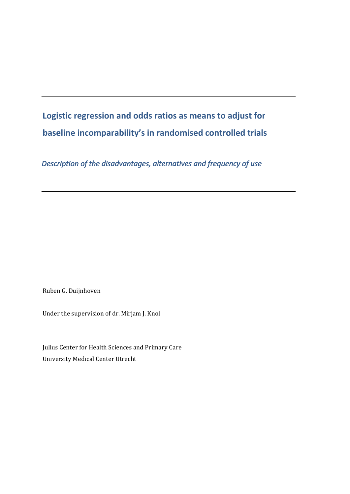# **Logistic regression and odds ratios as means to adjust for baseline incomparability's in randomised controlled trials**

*Description of the disadvantages, alternatives and frequency of use* 

Ruben G. Duijnhoven

Under the supervision of dr. Mirjam J. Knol

Julius Center for Health Sciences and Primary Care University Medical Center Utrecht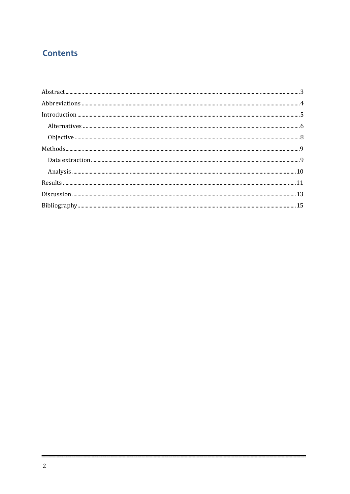# **Contents**

| $In traditional, \textit{un} \textit{1}-1, \textit{1}-2, \textit{2}-1, \textit{3}-2, \textit{4}-1, \textit{5}-1, \textit{6}-1, \textit{7}-1, \textit{8}-1, \textit{9}-1, \textit{1}-1, \textit{1}-1, \textit{1}-1, \textit{1}-1, \textit{1}-1, \textit{1}-1, \textit{1}-1, \textit{1}-1, \textit{1}-1, \textit{1}-1, \textit{1}-1, \textit{1}-1, \textit{1}-1, \textit{1}-1, \textit{1}-1, \textit{1}-1, \textit$ |  |
|-------------------------------------------------------------------------------------------------------------------------------------------------------------------------------------------------------------------------------------------------------------------------------------------------------------------------------------------------------------------------------------------------------------------|--|
|                                                                                                                                                                                                                                                                                                                                                                                                                   |  |
|                                                                                                                                                                                                                                                                                                                                                                                                                   |  |
|                                                                                                                                                                                                                                                                                                                                                                                                                   |  |
|                                                                                                                                                                                                                                                                                                                                                                                                                   |  |
|                                                                                                                                                                                                                                                                                                                                                                                                                   |  |
|                                                                                                                                                                                                                                                                                                                                                                                                                   |  |
|                                                                                                                                                                                                                                                                                                                                                                                                                   |  |
|                                                                                                                                                                                                                                                                                                                                                                                                                   |  |
|                                                                                                                                                                                                                                                                                                                                                                                                                   |  |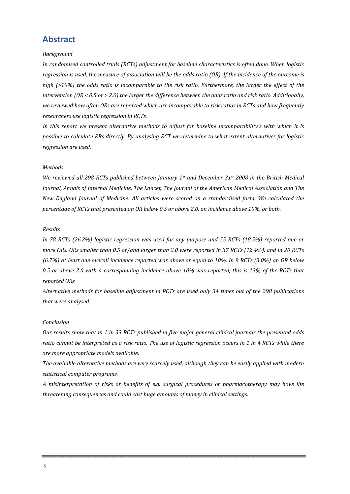## **Abstract**

#### *Background*

*In randomised controlled trials (RCTs) adjustment for baseline characteristics is often done. When logistic* regression is used, the measure of association will be the odds ratio (OR). If the incidence of the outcome is high (>10%) the odds ratio is incomparable to the risk ratio. Furthermore, the larger the effect of the intervention (OR < 0.5 or > 2.0) the larger the difference between the odds ratio and risk ratio. Additionally, we reviewed how often ORs are reported which are incomparable to risk ratios in RCTs and how frequently *researchers use logistic regression in RCTs.*

*In this report we present alternative methods to adjust for baseline incomparability's with which it is possible to calculate RRs directly. By analysing RCT we determine to what extent alternatives for logistic regression are used.* 

#### *Methods*

*We reviewed all 298 RCTs published between January 1st and December 31st 2008 in the British Medical Journal, Annals of Internal Medicine, The Lancet, The Journal of the American Medical Association and The New England Journal of Medicine. All articles were scored on a standardised form. We calculated the percentage of RCTs that presented an OR below 0.5 or above 2.0, an incidence above 10%, or both.*

#### *Results*

In 78 RCTs (26.2%) logistic regression was used for any purpose and 55 RCTs (18.5%) reported one or more ORs. ORs smaller than 0.5 or/and larger than 2.0 were reported in 37 RCTs (12.4%), and in 20 RCTs  $(6.7%)$  at least one overall incidence reported was above or equal to 10%. In 9 RCTs  $(3.0%)$  an OR below 0.5 or above 2.0 with a corresponding incidence above 10% was reported, this is 13% of the RCTs that *reported ORs.* 

*Alternative methods for baseline adjustment in RCTs are used only 34 times out of the 298 publications that were analysed.*

#### *Conclusion*

Our results show that in 1 in 33 RCTs published in five major general clinical journals the presented odds ratio cannot be interpreted as a risk ratio. The use of logistic regression occurs in 1 in 4 RCTs while there *are more appropriate models available.*

*The available alternative methods are very scarcely used, although they can be easily applied with modern statistical computer programs.*

*A misinterpretation of risks or benefits of e.g. surgical procedures or pharmacotherapy may have life threatening consequences and could cost huge amounts of money in clinical settings.*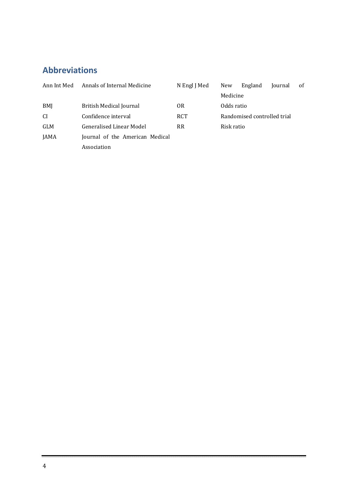# <span id="page-3-0"></span>**Abbrevia tions**

| Ann Int Med   | Annals of Internal Medicine     | N Engl J Med | New                         | England | Journal | 0f |
|---------------|---------------------------------|--------------|-----------------------------|---------|---------|----|
|               |                                 |              | Medicine                    |         |         |    |
| BMJ           | British Medical Journal         | 0R           | Odds ratio                  |         |         |    |
| <sub>CI</sub> | Confidence interval             | <b>RCT</b>   | Randomised controlled trial |         |         |    |
| GLM           | Generalised Linear Model        | <b>RR</b>    | Risk ratio                  |         |         |    |
| JAMA          | Journal of the American Medical |              |                             |         |         |    |
|               | Association                     |              |                             |         |         |    |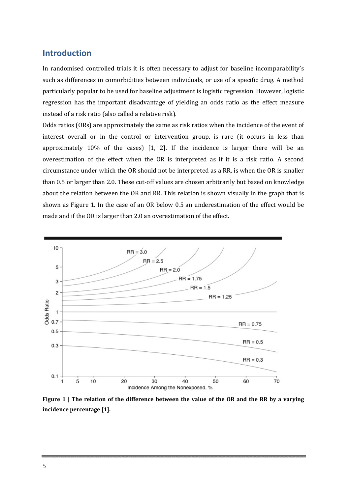### <span id="page-4-0"></span>**Introduction**

In randomised controlled trials it is often necessary to adjust for baseline incomparability's such as differences in comorbidities between individuals, or use of a specific drug. A method particularly popular to be used for baseline adjustment is logistic regression. However, logistic regression has the important disadvantage of yielding an odds ratio as the effect measure instead of a risk ratio (also called a relative risk).

Odds ratios (ORs) are approximately the same as risk ratios when the incidence of the event of interest overall or in the control or intervention group, is rare (it occurs in less than approximately 10% of the cases) [1, 2]. If the incidence is larger there will be an overestimation of the effect when the OR is interpreted as if it is a risk ratio. A second circumstance under which the OR should not be interpreted as a RR, is when the OR is smaller than 0.5 or larger than 2.0. These cut‐off values are chosen arbitrarily but based on knowledge about the relation between the OR and RR. This relation is shown visually in the graph that is shown as [Figure 1](#page-4-1). In the case of an OR below 0.5 an underestimation of the effect would be made and if the OR is larger than 2.0 an overestimation of the effect.



<span id="page-4-1"></span>Figure 1 | The relation of the difference between the value of the OR and the RR by a varying **incidence percentage [1].**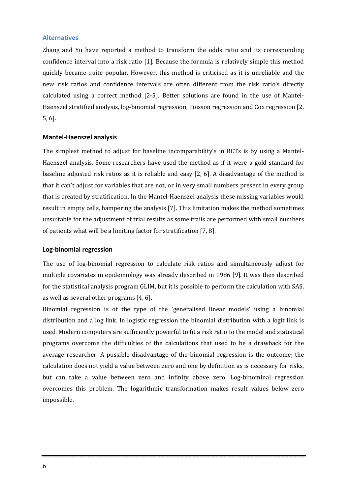#### <span id="page-5-0"></span>**Alternatives**

Zhang and Yu have reported a method to transform the odds ratio and its corresponding confidence interval into a risk ratio [1]. Because the formula is relatively simple this method quickly became quite popular. However, this method is criticised as it is unreliable and the new risk ratios and confidence intervals are often different from the risk ratio's directly calculated using a correct method [2‐5]. Better solutions are found in the use of Mantel‐ Haenszel stratified analysis, log‐binomial regression, Poisson regression and Cox regression [2, 5, 6].

#### **Mantel‐Haenszel analysis**

The simplest method to adjust for baseline incomparability's in RCTs is by using a Mantel-Haenszel analysis. Some researchers have used the method as if it were a gold standard for baseline adjusted risk ratios as it is reliable and easy [2, 6]. A disadvantage of the method is that it can't adjust for variables that are not, or in very small numbers present in every group that is created by stratification. In the Mantel‐Haenszel analysis these missing variables would result in empty cells, hampering the analysis [7]. This limitation makes the method sometimes unsuitable for the adjustment of trial results as some trails are performed with small numbers of patients what will be a limiting factor for stratification [7, 8].

#### **Log‐ regression binomial**

The use of log-binomial regression to calculate risk ratios and simultaneously adjust for multiple covariates in epidemiology was already described in 1986 [9]. It was then described for the statistical analysis program GLIM, but it is possible to perform the calculation with SAS, as well as several other programs [4, 6].

Binomial regression is of the type of the 'generalised linear models' using a binomial distribution and a log link. In logistic regression the binomial distribution with a logit link is used. Modern computers are sufficiently powerful to fit a risk ratio to the model and statistical programs overcome the difficulties of the calculations that used to be a drawback for the average researcher. A possible disadvantage of the binomial regression is the outcome; the calculation does not yield a value between zero and one by definition as is necessary for risks, but can take a value between zero and infinity above zero. Log‐binominal regression overcomes this problem. The logarithmic transformation makes result values below zero impossible.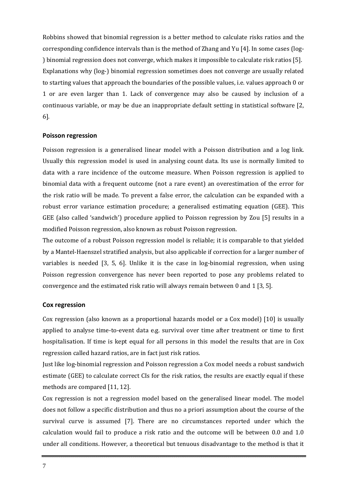Robbins showed that binomial regression is a better method to calculate risks ratios and the corresponding confidence intervals than is the method of Zhang and Yu [4]. In some cases (log‐ ) binomial regression does not converge, which makes it impossible to calculate risk ratios [5]. Explanations why (log-) binomial regression sometimes does not converge are usually related to starting values that approach the boundaries of the possible values, i.e. values approach 0 or 1 or are even larger than 1. Lack of convergence may also be caused by inclusion of a continuous variable, or may be due an inappropriate default setting in statistical software [2, 6].

#### **Poisson regression**

Poisson regression is a generalised linear model with a Poisson distribution and a log link. Usually this regression model is used in analysing count data. Its use is normally limited to data with a rare incidence of the outcome measure. When Poisson regression is applied to binomial data with a frequent outcome (not a rare event) an overestimation of the error for the risk ratio will be made. To prevent a false error, the calculation can be expanded with a robust error variance estimation procedure; a generalised estimating equation (GEE). This GEE (also called 'sandwich') procedure applied to Poisson regression by Zou [5] results in a modified Poisson regression, also known as robust Poisson regression.

The outcome of a robust Poisson regression model is reliable; it is comparable to that yielded by a Mantel‐Haenszel stratified analysis, but also applicable if correction for a larger number of variables is needed [3, 5, 6]. Unlike it is the case in log-binomial regression, when using Poisson regression convergence has never been reported to pose any problems related to convergence and the estimated risk ratio will always remain between 0 and 1 [3, 5].

#### **Cox regression**

Cox regression (also known as a proportional hazards model or a Cox model) [10] is usually applied to analyse time-to-event data e.g. survival over time after treatment or time to first hospitalisation. If time is kept equal for all persons in this model the results that are in Cox regression called hazard ratios, are in fact just risk ratios.

Just like log‐binomial regression and Poisson regression a Cox model needs a robust sandwich estimate (GEE) to calculate correct CIs for the risk ratios, the results are exactly equal if these methods are compared [11, 12].

Cox regression is not a regression model based on the generalised linear model. The model does not follow a specific distribution and thus no a priori assumption about the course of the survival curve is assumed [7]. There are no circumstances reported under which the calculation would fail to produce a risk ratio and the outcome will be between 0.0 and 1.0 under all conditions. However, a theoretical but tenuous disadvantage to the method is that it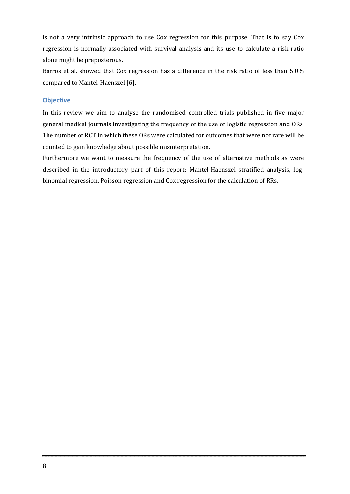is not a very intrinsic approach to use Cox regression for this purpose. That is to say Cox regression is normally associated with survival analysis and its use to calculate a risk ratio alone might be preposterous.

Barros et al. showed that Cox regression has a difference in the risk ratio of less than 5.0% compared to Mantel‐Haenszel [6].

#### <span id="page-7-0"></span>**Objective**

In this review we aim to analyse the randomised controlled trials published in five major general medical journals investigating the frequency of the use of logistic regression and ORs. The number of RCT in which these ORs were calculated for outcomes that were not rare will be counted to gain knowledge about possible misinterpretation.

Furthermore we want to measure the frequency of the use of alternative methods as were described in the introductory part of this report; Mantel-Haenszel stratified analysis, logbinomial regression, Poisson regression and Cox regression for the calculation of RRs.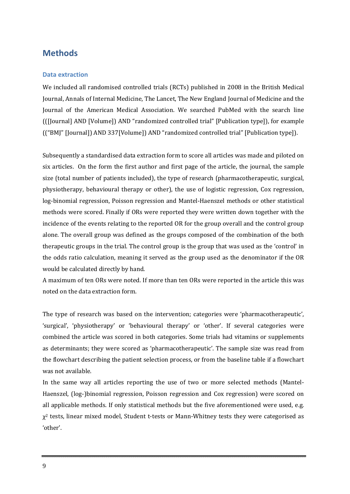# <span id="page-8-0"></span>**Methods**

#### <span id="page-8-1"></span>**Data extraction**

We included all randomised controlled trials (RCTs) published in 2008 in the British Medical Journal, Annals of Internal Medicine, The Lancet, The New England Journal of Medicine and the Journal of the American Medical Association. We searched PubMed with the search line (([Journal] AND [Volume]) AND "randomized controlled trial" [Publication type]), for example (("BMJ" [Journal]) AND 337[Volume]) AND "randomized controlled trial" [Publication type]).

Subsequently a standardised data extraction form to score all articles was made and piloted on six articles. On the form the first author and first page of the article, the journal, the sample size (total number of patients included), the type of research (pharmacotherapeutic, surgical, physiotherapy, behavioural therapy or other), the use of logistic regression, Cox regression, log‐binomial regression, Poisson regression and Mantel‐Haenszel methods or other statistical methods were scored. Finally if ORs were reported they were written down together with the incidence of the events relating to the reported OR for the group overall and the control group alone. The overall group was defined as the groups composed of the combination of the both therapeutic groups in the trial. The control group is the group that was used as the 'control' in the odds ratio calculation, meaning it served as the group used as the denominator if the OR would be calculated directly by hand.

A maximum of ten ORs were noted. If more than ten ORs were reported in the article this was noted on the data extraction form.

The type of research was based on the intervention; categories were 'pharmacotherapeutic', 'surgical', 'physiotherapy' or 'behavioural therapy' or 'other'. If several categories were combined the article was scored in both categories. Some trials had vitamins or supplements as determinants; they were scored as 'pharmacotherapeutic'. The sample size was read from the flowchart describing the patient selection process, or from the baseline table if a flowchart was not available.

In the same way all articles reporting the use of two or more selected methods (Mantel-Haenszel, (log-)binomial regression, Poisson regression and Cox regression) were scored on all applicable methods. If only statistical methods but the five aforementioned were used, e.g.  $\chi^2$  tests, linear mixed model, Student t-tests or Mann-Whitney tests they were categorised as 'other'.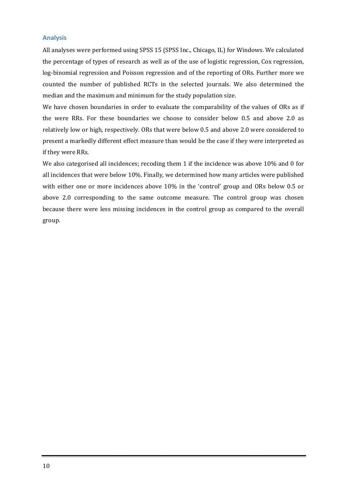#### <span id="page-9-0"></span>**Analysis**

All analyses were performed using SPSS 15 (SPSS Inc., Chicago, IL) for Windows. We calculated the percentage of types of research as well as of the use of logistic regression, Cox regression, log-binomial regression and Poisson regression and of the reporting of ORs. Further more we counted the number of published RCTs in the selected journals. We also determined the median and the maximum and minimum for the study population size.

We have chosen boundaries in order to evaluate the comparability of the values of ORs as if the were RRs. For these boundaries we choose to consider below 0.5 and above 2.0 as relatively low or high, respectively. ORs that were below 0.5 and above 2.0 were considered to present a markedly different effect measure than would be the case if they were interpreted as if they were RRs.

We also categorised all incidences; recoding them 1 if the incidence was above 10% and 0 for all incidences that were below 10%. Finally, we determined how many articles were published with either one or more incidences above 10% in the 'control' group and ORs below 0.5 or above 2.0 corresponding to the same outcome measure. The control group was chosen because there were less missing incidences in the control group as compared to the overall group.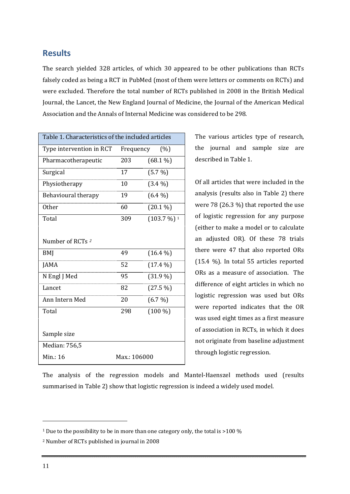## <span id="page-10-0"></span>**Results**

The search yielded 328 articles, of which 30 appeared to be other publications than RCTs falsely coded as being a RCT in PubMed (most of them were letters or comments on RCTs) and were excluded. Therefore the total number of RCTs published in 2008 in the British Medical Journal, the Lancet, the New England Journal of Medicine, the Journal of the American Medical Association and the Annals of Internal Medicine was considered to be 298.

<span id="page-10-3"></span>

| Table 1. Characteristics of the included articles |           |                          |  |  |
|---------------------------------------------------|-----------|--------------------------|--|--|
| Type intervention in RCT                          | Frequency | (%)                      |  |  |
| Pharmacotherapeutic                               | 203       | $(68.1\%)$               |  |  |
| Surgical                                          | 17        | $(5.7\%)$                |  |  |
| Physiotherapy                                     | 10        | $(3.4\%)$                |  |  |
| Behavioural therapy                               | 19        | $(6.4\%)$                |  |  |
| <b>Other</b>                                      | 60        | $(20.1\%)$               |  |  |
| Total                                             | 309       | $(103.7\%)$ <sup>1</sup> |  |  |
|                                                   |           |                          |  |  |
| Number of RCTs <sup>2</sup>                       |           |                          |  |  |
| <b>BMJ</b>                                        | 49        | $(16.4\%)$               |  |  |
| <b>JAMA</b>                                       | 52        | $(17.4\%)$               |  |  |
| N Engl J Med                                      | 95        | $(31.9\%)$               |  |  |
| Lancet                                            | 82        | $(27.5\%)$               |  |  |
| Ann Intern Med                                    | 20        | $(6.7\%)$                |  |  |
| Total                                             | 298       | $(100\%)$                |  |  |
|                                                   |           |                          |  |  |
| Sample size                                       |           |                          |  |  |
| Median: 756,5                                     |           |                          |  |  |
| Min.: 16                                          |           | Max.: 106000             |  |  |

The various articles type of research, the journal [and](#page-10-3)  sample size are described in Table 1.

Of all articles that were [included](#page-11-0) in the analysis (results also in Table 2) there were 78 (26.3 %) that reported the use of logistic regression for any purpose (either to make a model or to calculate an adjusted OR). Of these 78 trials there were 47 that also reported ORs (15.4 %). In total 55 articles reported ORs as a measure of association. The difference of eight articles in which no logistic regression was used but ORs were reported indicates that the OR was used eight times as a first measure of association in RCTs, in which it does not originate from baseline adjustment through logistic regression.

The analysis of the regression models and Mantel-Haenszel methods used (results summarised in Table 2) show that logistic regression is indeed a widely used model.

<span id="page-10-1"></span><sup>&</sup>lt;sup>1</sup> Due to the possibility to be in more than one category only, the total is  $>$  100 %

<span id="page-10-2"></span><sup>2</sup> Number of RCTs published in journal in 2008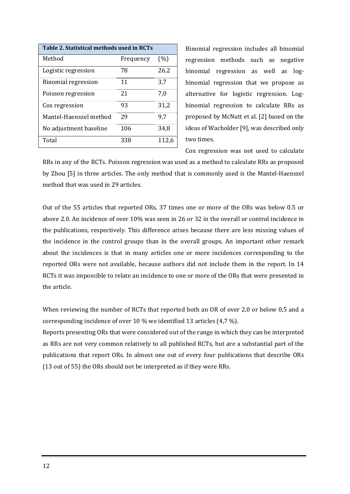<span id="page-11-0"></span>

| Table 2. Statistical methods used in RCTs |           |       |  |  |  |  |
|-------------------------------------------|-----------|-------|--|--|--|--|
| Method                                    | Frequency | (%)   |  |  |  |  |
| Logistic regression                       | 78        | 26,2  |  |  |  |  |
| <b>Binomial regression</b>                | 11        | 3,7   |  |  |  |  |
| Poisson regression                        | 21        | 7.0   |  |  |  |  |
| Cox regression                            | 93        | 31,2  |  |  |  |  |
| Mantel-Haenszel method                    | 29        | 9,7   |  |  |  |  |
| No adjustment baseline                    | 106       | 34,8  |  |  |  |  |
| Total                                     | 338       | 112,6 |  |  |  |  |

Binomial regression includes all binomial regression methods such as negative binomial regression as well as logbinomial regression that we propose as alternative for logistic regression. Log‐ binomial regression to calculate RRs as proposed by McNutt et al. [2] based on the ideas of Wacholder [9], was described only two times.

Cox regression was not used to calculate

RRs in any of the RCTs. Poisson regression was used as a method to calculate RRs as proposed by Zhou [5] in three articles. The only method that is commonly used is the Mantel‐Haenszel method that was used in 29 articles.

Out of the 55 articles that reported ORs, 37 times one or more of the ORs was below 0.5 or above 2.0. An incidence of over 10% was seen in 26 or 32 in the overall or control incidence in the publications, respectively. This difference arises because there are less missing values of the incidence in the control groups than in the overall groups. An important other remark about the incidences is that in many articles one or more incidences corresponding to the reported ORs were not available, because authors did not include them in the report. In 14 RCTs it was impossible to relate an incidence to one or more of the ORs that were presented in the article.

When reviewing the number of RCTs that reported both an OR of over 2,0 or below 0,5 and a corresponding incidence of over 10 % we identified 13 articles (4,7 %).

Reports presenting ORs that were considered out of the range in which they can be interpreted as RRs are not very common relatively to all published RCTs, but are a substantial part of the publications that report ORs. In almost one out of every four publications that describe ORs (13 out of 55) the ORs should not be interpreted as if they were RRs.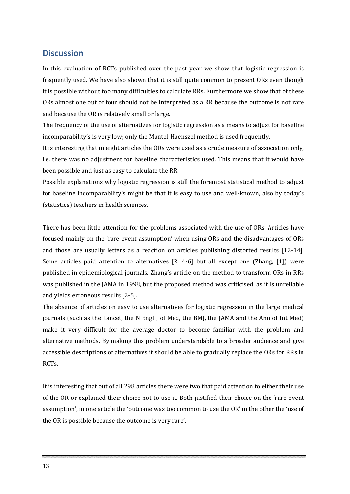## <span id="page-12-0"></span>**Discussion**

In this evaluation of RCTs published over the past year we show that logistic regression is frequently used. We have also shown that it is still quite common to present ORs even though it is possible without too many difficulties to calculate RRs. Furthermore we show that of these ORs almost one out of four should not be interpreted as a RR because the outcome is not rare and because the OR is relatively small or large.

The frequency of the use of alternatives for logistic regression as a means to adjust for baseline incomparability's is very low; only the Mantel‐Haenszel method is used frequently.

It is interesting that in eight articles the ORs were used as a crude measure of association only, i.e. there was no adjustment for baseline characteristics used. This means that it would have been possible and just as easy to calculate the RR.

Possible explanations why logistic regression is still the foremost statistical method to adjust for baseline incomparability's might be that it is easy to use and well-known, also by today's (statistics) teachers in health sciences.

There has been little attention for the problems associated with the use of ORs. Articles have focused mainly on the 'rare event assumption' when using ORs and the disadvantages of ORs and those are usually letters as a reaction on articles publishing distorted results [12-14]. Some articles paid attention to alternatives [2, 4-6] but all except one (Zhang, [1]) were published in epidemiological journals. Zhang's article on the method to transform ORs in RRs was published in the JAMA in 1998, but the proposed method was criticised, as it is unreliable and yields erroneous results [2‐5].

The absence of articles on easy to use alternatives for logistic regression in the large medical journals (such as the Lancet, the N Engl J of Med, the BMJ, the JAMA and the Ann of Int Med) make it very difficult for the average doctor to become familiar with the problem and alternative methods. By making this problem understandable to a broader audience and give accessible descriptions of alternatives it should be able to gradually replace the ORs for RRs in RCTs.

It is interesting that out of all 298 articles there were two that paid attention to either their use of the OR or explained their choice not to use it. Both justified their choice on the 'rare event assumption', in one article the 'outcome was too common to use the OR' in the other the 'use of the OR is possible because the outcome is very rare'.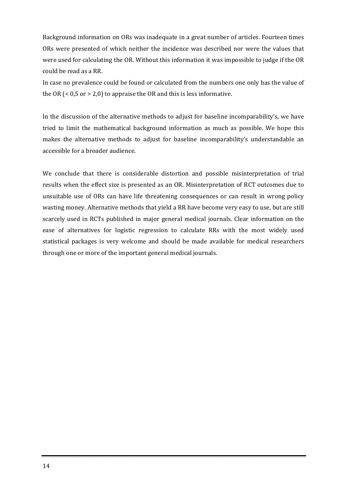Background information on ORs was inadequate in a great number of articles. Fourteen times ORs were presented of which neither the incidence was described nor were the values that were used for calculating the OR. Without this information it was impossible to judge if the OR could be read as a RR.

In case no prevalence could be found or calculated from the numbers one only has the value of the OR  $(< 0.5$  or  $> 2.0$ ) to appraise the OR and this is less informative.

In the discussion of the alternative methods to adjust for baseline incomparability's, we have tried to limit the mathematical background information as much as possible. We hope this makes the alternative methods to adjust for baseline incomparability's understandable an accessible for a broader audience.

We conclude that there is considerable distortion and possible misinterpretation of trial results when the effect size is presented as an OR. Misinterpretation of RCT outcomes due to unsuitable use of ORs can have life threatening consequences or can result in wrong policy wasting money. Alternative methods that yield a RR have become very easy to use, but are still scarcely used in RCTs published in major general medical journals. Clear information on the ease of alternatives for logistic regression to calculate RRs with the most widely used statistical packages is very welcome and should be made available for medical researchers through one or more of the important general medical journals.